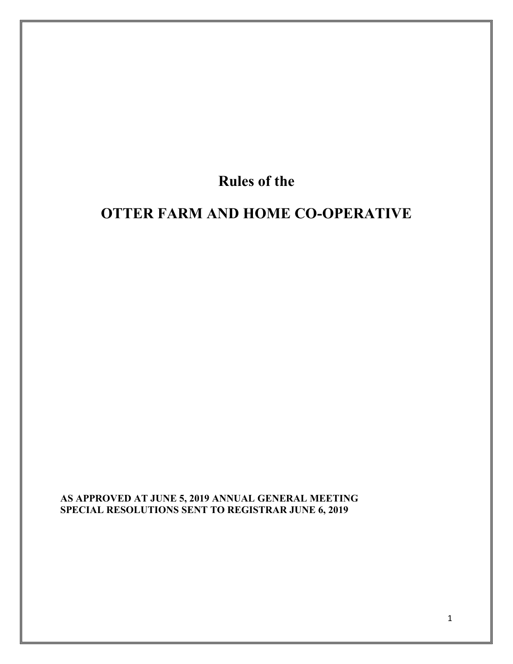# Rules of the

# OTTER FARM AND HOME CO-OPERATIVE

AS APPROVED AT JUNE 5, 2019 ANNUAL GENERAL MEETING SPECIAL RESOLUTIONS SENT TO REGISTRAR JUNE 6, 2019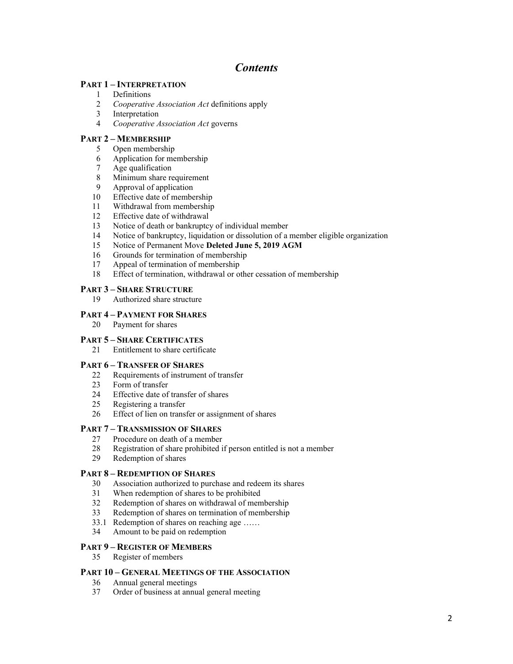# *Contents*

### PART 1 – INTERPRETATION

- Definitions
- *Cooperative Association Act* definitions apply
- Interpretation
- *Cooperative Association Act* governs

# PART 2 – MEMBERSHIP

- Open membership
- Application for membership
- Age qualification
- Minimum share requirement
- Approval of application
- Effective date of membership
- Withdrawal from membership
- Effective date of withdrawal
- Notice of death or bankruptcy of individual member
- Notice of bankruptcy, liquidation or dissolution of a member eligible organization
- Notice of Permanent Move Deleted June 5, 2019 AGM
- Grounds for termination of membership
- Appeal of termination of membership
- Effect of termination, withdrawal or other cessation of membership

### PART 3 – SHARE STRUCTURE

Authorized share structure

### PART 4 – PAYMENT FOR SHARES

Payment for shares

### PART 5 – SHARE CERTIFICATES

Entitlement to share certificate

### PART – Transfer of Shares

- Requirements of instrument of transfer
- Form of transfer
- Effective date of transfer of shares
- Registering a transfer
- Effect of lien on transfer or assignment of shares

### PART 7 – TRANSMISSION OF SHARES

- Procedure on death of a member
- Registration of share prohibited if person entitled is not a member
- Redemption of shares

### PART 8 – REDEMPTION OF SHARES

- Association authorized to purchase and redeem its shares
- When redemption of shares to be prohibited
- Redemption of shares on withdrawal of membership
- Redemption of shares on termination of membership
- 33.1 Redemption of shares on reaching age ……
- Amount to be paid on redemption

### PART 9 – REGISTER OF MEMBERS

Register of members

### PART 10 – GENERAL MEETINGS OF THE ASSOCIATION

- Annual general meetings
- Order of business at annual general meeting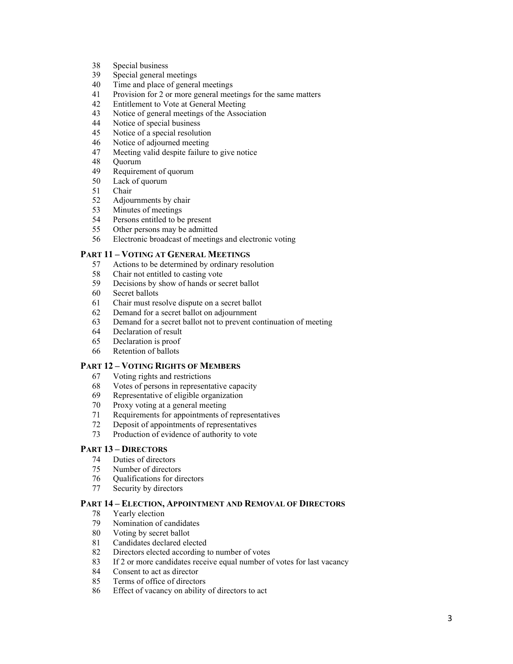- Special business
- Special general meetings
- Time and place of general meetings
- Provision for 2 or more general meetings for the same matters
- Entitlement to Vote at General Meeting
- Notice of general meetings of the Association
- Notice of special business
- Notice of a special resolution
- Notice of adjourned meeting
- Meeting valid despite failure to give notice
- Quorum
- Requirement of quorum
- Lack of quorum
- Chair
- Adjournments by chair
- Minutes of meetings
- Persons entitled to be present
- Other persons may be admitted
- Electronic broadcast of meetings and electronic voting

### PART 11 – VOTING AT GENERAL MEETINGS

- Actions to be determined by ordinary resolution
- Chair not entitled to casting vote
- Decisions by show of hands or secret ballot
- Secret ballots
- Chair must resolve dispute on a secret ballot
- Demand for a secret ballot on adjournment
- Demand for a secret ballot not to prevent continuation of meeting
- Declaration of result
- Declaration is proof
- Retention of ballots

### PART 12 – VOTING RIGHTS OF MEMBERS

- Voting rights and restrictions
- Votes of persons in representative capacity
- Representative of eligible organization
- Proxy voting at a general meeting
- Requirements for appointments of representatives
- Deposit of appointments of representatives
- Production of evidence of authority to vote

### PART 13 – DIRECTORS

- Duties of directors
- Number of directors
- Qualifications for directors
- Security by directors

### PART 14 – ELECTION, APPOINTMENT AND REMOVAL OF DIRECTORS

- Yearly election
- Nomination of candidates
- Voting by secret ballot
- Candidates declared elected
- Directors elected according to number of votes
- If 2 or more candidates receive equal number of votes for last vacancy
- Consent to act as director
- Terms of office of directors
- Effect of vacancy on ability of directors to act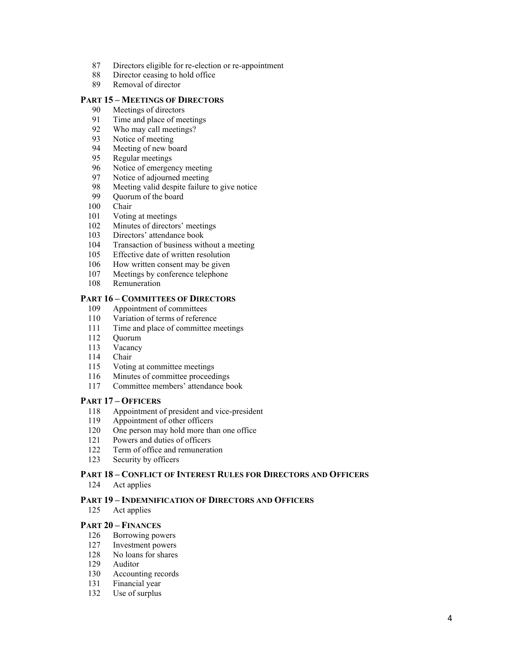- Directors eligible for re-election or re-appointment
- Director ceasing to hold office
- Removal of director

### PART 15 – MEETINGS OF DIRECTORS

- Meetings of directors
- 91 Time and place of meetings<br>92 Who may call meetings?
- 92 Who may call meetings?<br>93 Notice of meeting
- Notice of meeting
- Meeting of new board
- Regular meetings
- Notice of emergency meeting
- Notice of adjourned meeting
- Meeting valid despite failure to give notice
- Quorum of the board
- Chair
- Voting at meetings
- Minutes of directors' meetings
- Directors' attendance book
- Transaction of business without a meeting
- Effective date of written resolution
- 106 How written consent may be given
- Meetings by conference telephone
- Remuneration

#### PART 16 – COMMITTEES OF DIRECTORS

- Appointment of committees
- Variation of terms of reference
- Time and place of committee meetings
- Quorum
- Vacancy
- Chair
- Voting at committee meetings
- Minutes of committee proceedings
- Committee members' attendance book

### PART 17 – OFFICERS

- Appointment of president and vice-president
- Appointment of other officers
- One person may hold more than one office
- Powers and duties of officers
- Term of office and remuneration
- Security by officers

### PART 18 – CONFLICT OF INTEREST RULES FOR DIRECTORS AND OFFICERS Act applies

### PART 19 – INDEMNIFICATION OF DIRECTORS AND OFFICERS

Act applies

### PART 20 – FINANCES

- Borrowing powers
- Investment powers
- No loans for shares
- Auditor
- Accounting records
- Financial year
- Use of surplus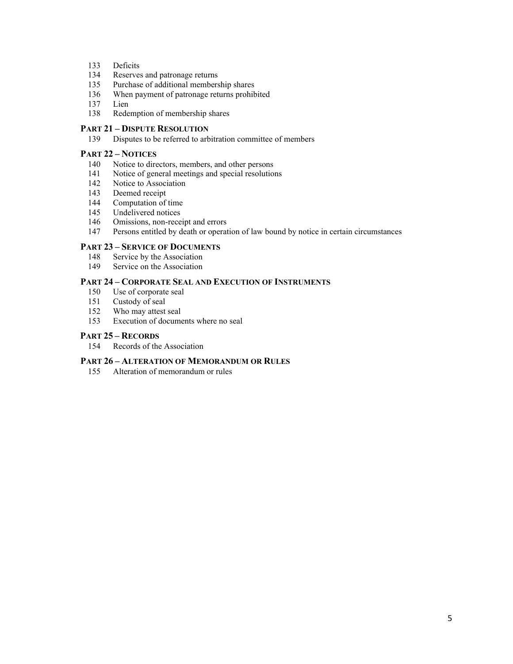- Deficits
- Reserves and patronage returns
- Purchase of additional membership shares
- When payment of patronage returns prohibited
- Lien
- Redemption of membership shares

# PART 21 – DISPUTE RESOLUTION

Disputes to be referred to arbitration committee of members

### PART 22 – NOTICES

- Notice to directors, members, and other persons
- Notice of general meetings and special resolutions
- Notice to Association
- 143 Deemed receipt<br>144 Computation of
- Computation of time
- Undelivered notices
- Omissions, non-receipt and errors
- Persons entitled by death or operation of law bound by notice in certain circumstances

#### PART 23 – SERVICE OF DOCUMENTS

- Service by the Association
- Service on the Association

### PART 24 – CORPORATE SEAL AND EXECUTION OF INSTRUMENTS

- Use of corporate seal
- Custody of seal
- Who may attest seal
- Execution of documents where no seal

# PART 25 – RECORDS

Records of the Association

### PART 26 – ALTERATION OF MEMORANDUM OR RULES

Alteration of memorandum or rules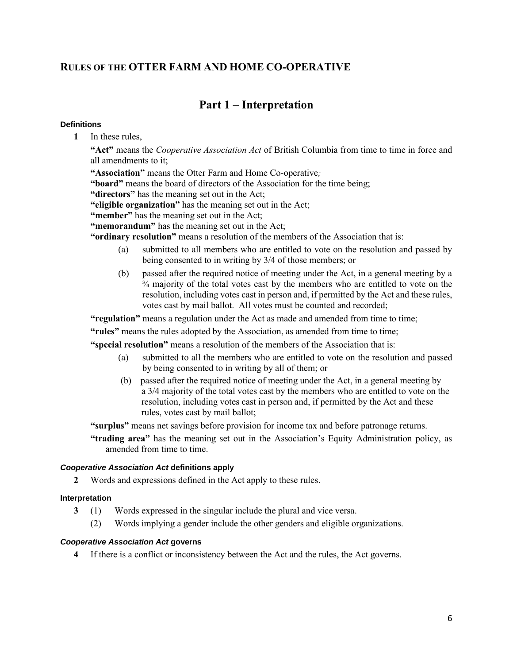# RULES OF THE OTTER FARM AND HOME CO-OPERATIVE

# Part 1 – Interpretation

### **Definitions**

1 In these rules,

"Act" means the *Cooperative Association Act* of British Columbia from time to time in force and all amendments to it;

"Association" means the Otter Farm and Home Co-operative*;*

"board" means the board of directors of the Association for the time being;

"directors" has the meaning set out in the Act;

"eligible organization" has the meaning set out in the Act;

"member" has the meaning set out in the Act;

"memorandum" has the meaning set out in the Act;

"ordinary resolution" means a resolution of the members of the Association that is:

- (a) submitted to all members who are entitled to vote on the resolution and passed by being consented to in writing by 3/4 of those members; or
- (b) passed after the required notice of meeting under the Act, in a general meeting by a ¾ majority of the total votes cast by the members who are entitled to vote on the resolution, including votes cast in person and, if permitted by the Act and these rules, votes cast by mail ballot. All votes must be counted and recorded;

"regulation" means a regulation under the Act as made and amended from time to time;

"rules" means the rules adopted by the Association, as amended from time to time;

"special resolution" means a resolution of the members of the Association that is:

- (a) submitted to all the members who are entitled to vote on the resolution and passed by being consented to in writing by all of them; or
- (b) passed after the required notice of meeting under the Act, in a general meeting by a 3/4 majority of the total votes cast by the members who are entitled to vote on the resolution, including votes cast in person and, if permitted by the Act and these rules, votes cast by mail ballot;

"surplus" means net savings before provision for income tax and before patronage returns.

"trading area" has the meaning set out in the Association's Equity Administration policy, as amended from time to time.

### *Cooperative Association Act* **definitions apply**

2 Words and expressions defined in the Act apply to these rules.

### **Interpretation**

- 3 (1) Words expressed in the singular include the plural and vice versa.
	- (2) Words implying a gender include the other genders and eligible organizations.

### *Cooperative Association Act* **governs**

4 If there is a conflict or inconsistency between the Act and the rules, the Act governs.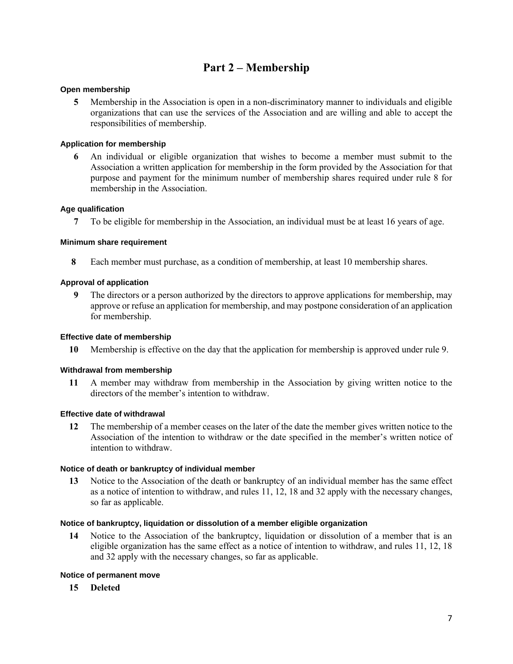# Part 2 – Membership

### **Open membership**

5 Membership in the Association is open in a non-discriminatory manner to individuals and eligible organizations that can use the services of the Association and are willing and able to accept the responsibilities of membership.

### **Application for membership**

6 An individual or eligible organization that wishes to become a member must submit to the Association a written application for membership in the form provided by the Association for that purpose and payment for the minimum number of membership shares required under rule 8 for membership in the Association.

### **Age qualification**

7 To be eligible for membership in the Association, an individual must be at least 16 years of age.

### **Minimum share requirement**

8 Each member must purchase, as a condition of membership, at least 10 membership shares.

### **Approval of application**

9 The directors or a person authorized by the directors to approve applications for membership, may approve or refuse an application for membership, and may postpone consideration of an application for membership.

### **Effective date of membership**

10 Membership is effective on the day that the application for membership is approved under rule 9.

### **Withdrawal from membership**

11 A member may withdraw from membership in the Association by giving written notice to the directors of the member's intention to withdraw.

### **Effective date of withdrawal**

12 The membership of a member ceases on the later of the date the member gives written notice to the Association of the intention to withdraw or the date specified in the member's written notice of intention to withdraw.

### **Notice of death or bankruptcy of individual member**

13 Notice to the Association of the death or bankruptcy of an individual member has the same effect as a notice of intention to withdraw, and rules 11, 12, 18 and 32 apply with the necessary changes, so far as applicable.

### **Notice of bankruptcy, liquidation or dissolution of a member eligible organization**

14 Notice to the Association of the bankruptcy, liquidation or dissolution of a member that is an eligible organization has the same effect as a notice of intention to withdraw, and rules 11, 12, 18 and 32 apply with the necessary changes, so far as applicable.

### **Notice of permanent move**

15 Deleted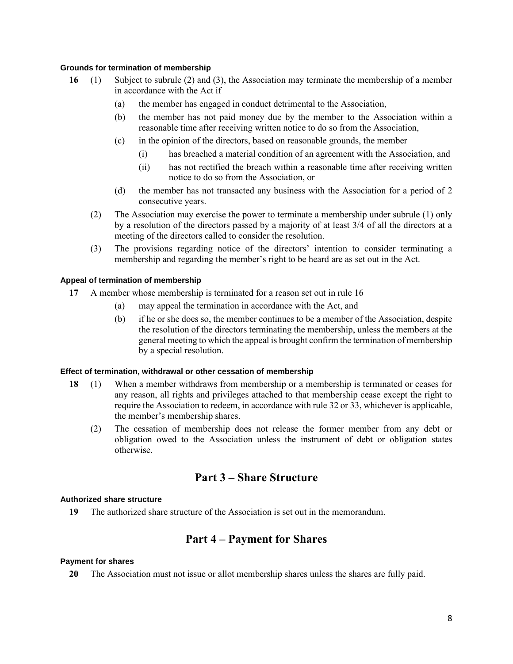### **Grounds for termination of membership**

- 16 (1) Subject to subrule (2) and (3), the Association may terminate the membership of a member in accordance with the Act if
	- (a) the member has engaged in conduct detrimental to the Association,
	- (b) the member has not paid money due by the member to the Association within a reasonable time after receiving written notice to do so from the Association,
	- (c) in the opinion of the directors, based on reasonable grounds, the member
		- (i) has breached a material condition of an agreement with the Association, and
		- (ii) has not rectified the breach within a reasonable time after receiving written notice to do so from the Association, or
	- (d) the member has not transacted any business with the Association for a period of 2 consecutive years.
	- (2) The Association may exercise the power to terminate a membership under subrule (1) only by a resolution of the directors passed by a majority of at least 3/4 of all the directors at a meeting of the directors called to consider the resolution.
	- (3) The provisions regarding notice of the directors' intention to consider terminating a membership and regarding the member's right to be heard are as set out in the Act.

# **Appeal of termination of membership**

- 17 A member whose membership is terminated for a reason set out in rule 16
	- (a) may appeal the termination in accordance with the Act, and
	- (b) if he or she does so, the member continues to be a member of the Association, despite the resolution of the directors terminating the membership, unless the members at the general meeting to which the appeal is brought confirm the termination of membership by a special resolution.

# **Effect of termination, withdrawal or other cessation of membership**

- 18 (1) When a member withdraws from membership or a membership is terminated or ceases for any reason, all rights and privileges attached to that membership cease except the right to require the Association to redeem, in accordance with rule 32 or 33, whichever is applicable, the member's membership shares.
	- (2) The cessation of membership does not release the former member from any debt or obligation owed to the Association unless the instrument of debt or obligation states otherwise.

# Part 3 – Share Structure

# **Authorized share structure**

19 The authorized share structure of the Association is set out in the memorandum.

# Part 4 – Payment for Shares

# **Payment for shares**

20 The Association must not issue or allot membership shares unless the shares are fully paid.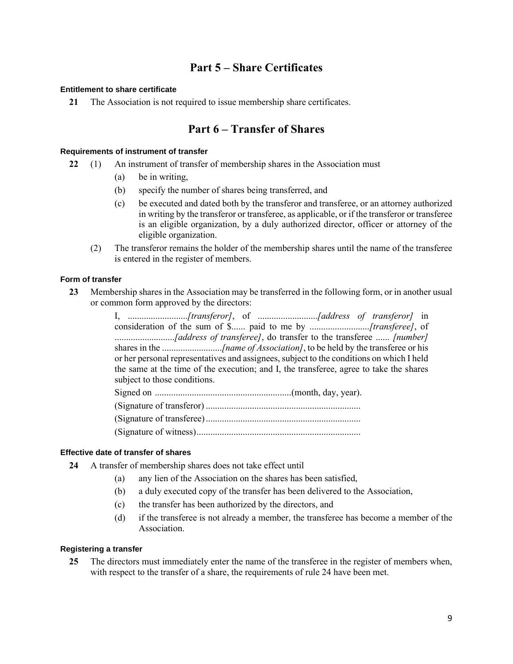# Part 5 – Share Certificates

### **Entitlement to share certificate**

21 The Association is not required to issue membership share certificates.

# Part 6 – Transfer of Shares

### **Requirements of instrument of transfer**

- 22 (1) An instrument of transfer of membership shares in the Association must
	- (a) be in writing,
	- (b) specify the number of shares being transferred, and
	- (c) be executed and dated both by the transferor and transferee, or an attorney authorized in writing by the transferor or transferee, as applicable, or if the transferor or transferee is an eligible organization, by a duly authorized director, officer or attorney of the eligible organization.
	- (2) The transferor remains the holder of the membership shares until the name of the transferee is entered in the register of members.

### **Form of transfer**

23 Membership shares in the Association may be transferred in the following form, or in another usual or common form approved by the directors:

> I, ..........................*[transferor]*, of ..........................*[address of transferor]* in consideration of the sum of \$...... paid to me by ..........................*[transferee]*, of ..........................*[address of transferee]*, do transfer to the transferee ...... *[number]* shares in the ...............................*[name of Association]*, to be held by the transferee or his or her personal representatives and assignees, subject to the conditions on which I held the same at the time of the execution; and I, the transferee, agree to take the shares subject to those conditions.

Signed on ...........................................................(month, day, year).

### **Effective date of transfer of shares**

- 24 A transfer of membership shares does not take effect until
	- (a) any lien of the Association on the shares has been satisfied,
	- (b) a duly executed copy of the transfer has been delivered to the Association,
	- (c) the transfer has been authorized by the directors, and
	- (d) if the transferee is not already a member, the transferee has become a member of the Association.

### **Registering a transfer**

25 The directors must immediately enter the name of the transferee in the register of members when, with respect to the transfer of a share, the requirements of rule 24 have been met.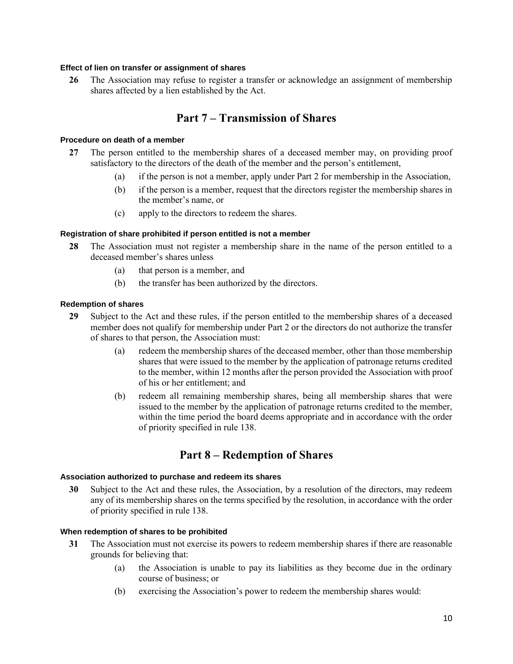### **Effect of lien on transfer or assignment of shares**

26 The Association may refuse to register a transfer or acknowledge an assignment of membership shares affected by a lien established by the Act.

# Part 7 – Transmission of Shares

#### **Procedure on death of a member**

- 27 The person entitled to the membership shares of a deceased member may, on providing proof satisfactory to the directors of the death of the member and the person's entitlement,
	- (a) if the person is not a member, apply under Part 2 for membership in the Association,
	- (b) if the person is a member, request that the directors register the membership shares in the member's name, or
	- (c) apply to the directors to redeem the shares.

### **Registration of share prohibited if person entitled is not a member**

- 28 The Association must not register a membership share in the name of the person entitled to a deceased member's shares unless
	- (a) that person is a member, and
	- (b) the transfer has been authorized by the directors.

### **Redemption of shares**

- 29 Subject to the Act and these rules, if the person entitled to the membership shares of a deceased member does not qualify for membership under Part 2 or the directors do not authorize the transfer of shares to that person, the Association must:
	- (a) redeem the membership shares of the deceased member, other than those membership shares that were issued to the member by the application of patronage returns credited to the member, within 12 months after the person provided the Association with proof of his or her entitlement; and
	- (b) redeem all remaining membership shares, being all membership shares that were issued to the member by the application of patronage returns credited to the member, within the time period the board deems appropriate and in accordance with the order of priority specified in rule 138.

# Part 8 – Redemption of Shares

#### **Association authorized to purchase and redeem its shares**

30 Subject to the Act and these rules, the Association, by a resolution of the directors, may redeem any of its membership shares on the terms specified by the resolution, in accordance with the order of priority specified in rule 138.

#### **When redemption of shares to be prohibited**

- 31 The Association must not exercise its powers to redeem membership shares if there are reasonable grounds for believing that:
	- (a) the Association is unable to pay its liabilities as they become due in the ordinary course of business; or
	- (b) exercising the Association's power to redeem the membership shares would: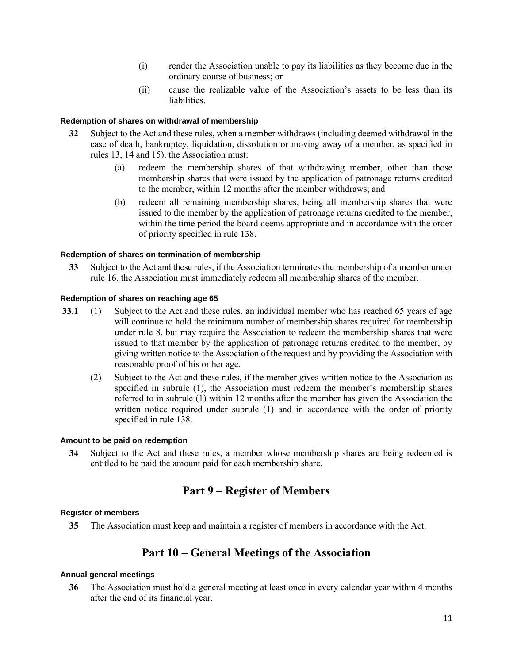- (i) render the Association unable to pay its liabilities as they become due in the ordinary course of business; or
- (ii) cause the realizable value of the Association's assets to be less than its liabilities.

### **Redemption of shares on withdrawal of membership**

- 32 Subject to the Act and these rules, when a member withdraws (including deemed withdrawal in the case of death, bankruptcy, liquidation, dissolution or moving away of a member, as specified in rules 13, 14 and 15), the Association must:
	- (a) redeem the membership shares of that withdrawing member, other than those membership shares that were issued by the application of patronage returns credited to the member, within 12 months after the member withdraws; and
	- (b) redeem all remaining membership shares, being all membership shares that were issued to the member by the application of patronage returns credited to the member, within the time period the board deems appropriate and in accordance with the order of priority specified in rule 138.

### **Redemption of shares on termination of membership**

33 Subject to the Act and these rules, if the Association terminates the membership of a member under rule 16, the Association must immediately redeem all membership shares of the member.

### **Redemption of shares on reaching age 65**

- 33.1 (1) Subject to the Act and these rules, an individual member who has reached 65 years of age will continue to hold the minimum number of membership shares required for membership under rule 8, but may require the Association to redeem the membership shares that were issued to that member by the application of patronage returns credited to the member, by giving written notice to the Association of the request and by providing the Association with reasonable proof of his or her age.
	- (2) Subject to the Act and these rules, if the member gives written notice to the Association as specified in subrule (1), the Association must redeem the member's membership shares referred to in subrule (1) within 12 months after the member has given the Association the written notice required under subrule (1) and in accordance with the order of priority specified in rule 138.

### **Amount to be paid on redemption**

34 Subject to the Act and these rules, a member whose membership shares are being redeemed is entitled to be paid the amount paid for each membership share.

# Part 9 – Register of Members

#### **Register of members**

35 The Association must keep and maintain a register of members in accordance with the Act.

# Part 10 – General Meetings of the Association

### **Annual general meetings**

36 The Association must hold a general meeting at least once in every calendar year within 4 months after the end of its financial year.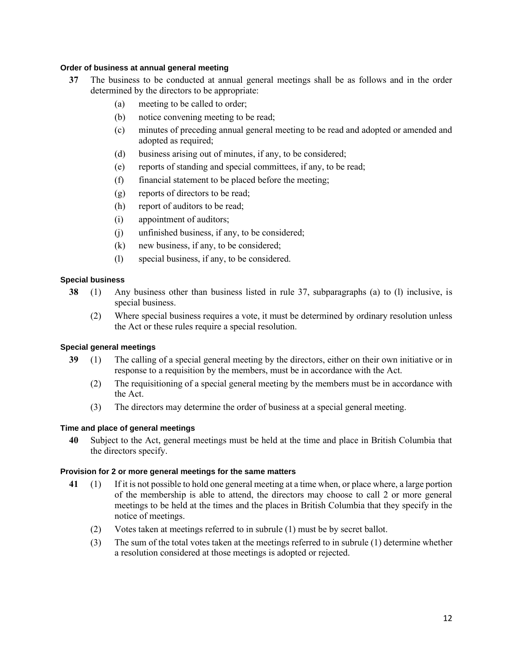### **Order of business at annual general meeting**

- 37 The business to be conducted at annual general meetings shall be as follows and in the order determined by the directors to be appropriate:
	- (a) meeting to be called to order;
	- (b) notice convening meeting to be read;
	- (c) minutes of preceding annual general meeting to be read and adopted or amended and adopted as required;
	- (d) business arising out of minutes, if any, to be considered;
	- (e) reports of standing and special committees, if any, to be read;
	- (f) financial statement to be placed before the meeting;
	- (g) reports of directors to be read;
	- (h) report of auditors to be read;
	- (i) appointment of auditors;
	- (j) unfinished business, if any, to be considered;
	- (k) new business, if any, to be considered;
	- (l) special business, if any, to be considered.

# **Special business**

- 38 (1) Any business other than business listed in rule 37, subparagraphs (a) to (l) inclusive, is special business.
	- (2) Where special business requires a vote, it must be determined by ordinary resolution unless the Act or these rules require a special resolution.

# **Special general meetings**

- 39 (1) The calling of a special general meeting by the directors, either on their own initiative or in response to a requisition by the members, must be in accordance with the Act.
	- (2) The requisitioning of a special general meeting by the members must be in accordance with the Act.
	- (3) The directors may determine the order of business at a special general meeting.

# **Time and place of general meetings**

40 Subject to the Act, general meetings must be held at the time and place in British Columbia that the directors specify.

# **Provision for 2 or more general meetings for the same matters**

- 41 (1) If it is not possible to hold one general meeting at a time when, or place where, a large portion of the membership is able to attend, the directors may choose to call 2 or more general meetings to be held at the times and the places in British Columbia that they specify in the notice of meetings.
	- (2) Votes taken at meetings referred to in subrule (1) must be by secret ballot.
	- (3) The sum of the total votes taken at the meetings referred to in subrule (1) determine whether a resolution considered at those meetings is adopted or rejected.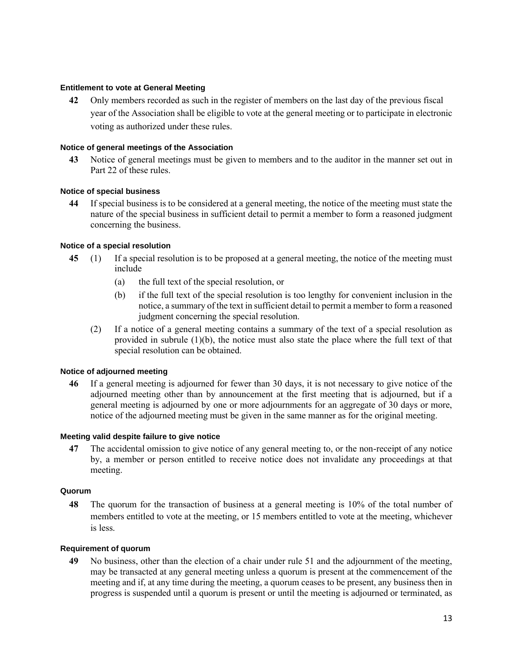#### **Entitlement to vote at General Meeting**

42 Only members recorded as such in the register of members on the last day of the previous fiscal year of the Association shall be eligible to vote at the general meeting or to participate in electronic voting as authorized under these rules.

### **Notice of general meetings of the Association**

43 Notice of general meetings must be given to members and to the auditor in the manner set out in Part 22 of these rules.

#### **Notice of special business**

44 If special business is to be considered at a general meeting, the notice of the meeting must state the nature of the special business in sufficient detail to permit a member to form a reasoned judgment concerning the business.

### **Notice of a special resolution**

- 45 (1) If a special resolution is to be proposed at a general meeting, the notice of the meeting must include
	- (a) the full text of the special resolution, or
	- (b) if the full text of the special resolution is too lengthy for convenient inclusion in the notice, a summary of the text in sufficient detail to permit a member to form a reasoned judgment concerning the special resolution.
	- (2) If a notice of a general meeting contains a summary of the text of a special resolution as provided in subrule  $(1)(b)$ , the notice must also state the place where the full text of that special resolution can be obtained.

### **Notice of adjourned meeting**

46 If a general meeting is adjourned for fewer than 30 days, it is not necessary to give notice of the adjourned meeting other than by announcement at the first meeting that is adjourned, but if a general meeting is adjourned by one or more adjournments for an aggregate of 30 days or more, notice of the adjourned meeting must be given in the same manner as for the original meeting.

#### **Meeting valid despite failure to give notice**

47 The accidental omission to give notice of any general meeting to, or the non-receipt of any notice by, a member or person entitled to receive notice does not invalidate any proceedings at that meeting.

#### **Quorum**

48 The quorum for the transaction of business at a general meeting is 10% of the total number of members entitled to vote at the meeting, or 15 members entitled to vote at the meeting, whichever is less.

### **Requirement of quorum**

49 No business, other than the election of a chair under rule 51 and the adjournment of the meeting, may be transacted at any general meeting unless a quorum is present at the commencement of the meeting and if, at any time during the meeting, a quorum ceases to be present, any business then in progress is suspended until a quorum is present or until the meeting is adjourned or terminated, as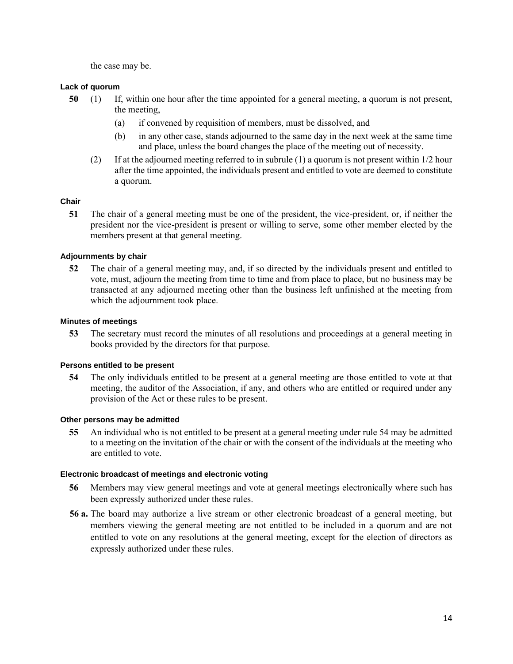the case may be.

# **Lack of quorum**

- 50 (1) If, within one hour after the time appointed for a general meeting, a quorum is not present, the meeting,
	- (a) if convened by requisition of members, must be dissolved, and
	- (b) in any other case, stands adjourned to the same day in the next week at the same time and place, unless the board changes the place of the meeting out of necessity.
	- (2) If at the adjourned meeting referred to in subrule (1) a quorum is not present within 1/2 hour after the time appointed, the individuals present and entitled to vote are deemed to constitute a quorum.

# **Chair**

51 The chair of a general meeting must be one of the president, the vice-president, or, if neither the president nor the vice-president is present or willing to serve, some other member elected by the members present at that general meeting.

# **Adjournments by chair**

52 The chair of a general meeting may, and, if so directed by the individuals present and entitled to vote, must, adjourn the meeting from time to time and from place to place, but no business may be transacted at any adjourned meeting other than the business left unfinished at the meeting from which the adjournment took place.

# **Minutes of meetings**

53 The secretary must record the minutes of all resolutions and proceedings at a general meeting in books provided by the directors for that purpose.

# **Persons entitled to be present**

54 The only individuals entitled to be present at a general meeting are those entitled to vote at that meeting, the auditor of the Association, if any, and others who are entitled or required under any provision of the Act or these rules to be present.

# **Other persons may be admitted**

55 An individual who is not entitled to be present at a general meeting under rule 54 may be admitted to a meeting on the invitation of the chair or with the consent of the individuals at the meeting who are entitled to vote.

# **Electronic broadcast of meetings and electronic voting**

- 56 Members may view general meetings and vote at general meetings electronically where such has been expressly authorized under these rules.
- 56 a. The board may authorize a live stream or other electronic broadcast of a general meeting, but members viewing the general meeting are not entitled to be included in a quorum and are not entitled to vote on any resolutions at the general meeting, except for the election of directors as expressly authorized under these rules.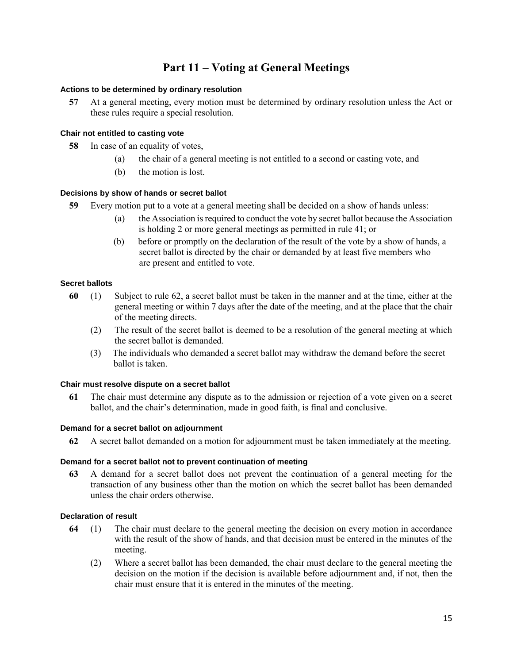# Part 11 – Voting at General Meetings

### **Actions to be determined by ordinary resolution**

57 At a general meeting, every motion must be determined by ordinary resolution unless the Act or these rules require a special resolution.

### **Chair not entitled to casting vote**

- 58 In case of an equality of votes,
	- (a) the chair of a general meeting is not entitled to a second or casting vote, and
	- (b) the motion is lost.

# **Decisions by show of hands or secret ballot**

- 59 Every motion put to a vote at a general meeting shall be decided on a show of hands unless:
	- (a) the Association is required to conduct the vote by secret ballot because the Association is holding 2 or more general meetings as permitted in rule 41; or
	- (b) before or promptly on the declaration of the result of the vote by a show of hands, a secret ballot is directed by the chair or demanded by at least five members who are present and entitled to vote.

# **Secret ballots**

- 60 (1) Subject to rule 62, a secret ballot must be taken in the manner and at the time, either at the general meeting or within 7 days after the date of the meeting, and at the place that the chair of the meeting directs.
	- (2) The result of the secret ballot is deemed to be a resolution of the general meeting at which the secret ballot is demanded.
	- (3) The individuals who demanded a secret ballot may withdraw the demand before the secret ballot is taken.

# **Chair must resolve dispute on a secret ballot**

61 The chair must determine any dispute as to the admission or rejection of a vote given on a secret ballot, and the chair's determination, made in good faith, is final and conclusive.

### **Demand for a secret ballot on adjournment**

62 A secret ballot demanded on a motion for adjournment must be taken immediately at the meeting.

# **Demand for a secret ballot not to prevent continuation of meeting**

63 A demand for a secret ballot does not prevent the continuation of a general meeting for the transaction of any business other than the motion on which the secret ballot has been demanded unless the chair orders otherwise.

### **Declaration of result**

- 64 (1) The chair must declare to the general meeting the decision on every motion in accordance with the result of the show of hands, and that decision must be entered in the minutes of the meeting.
	- (2) Where a secret ballot has been demanded, the chair must declare to the general meeting the decision on the motion if the decision is available before adjournment and, if not, then the chair must ensure that it is entered in the minutes of the meeting.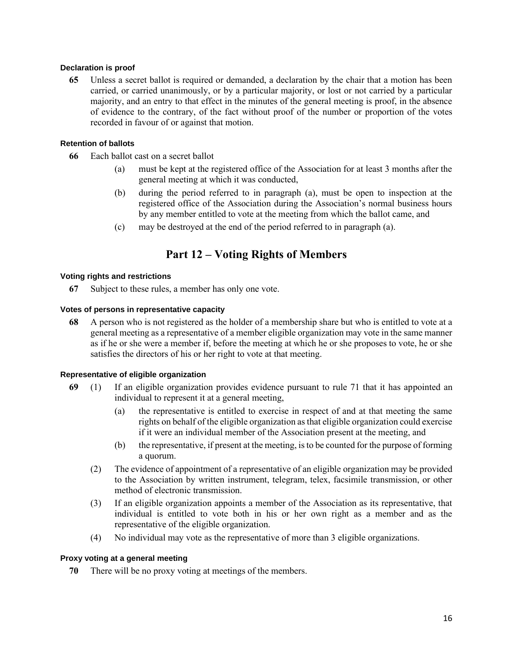### **Declaration is proof**

65 Unless a secret ballot is required or demanded, a declaration by the chair that a motion has been carried, or carried unanimously, or by a particular majority, or lost or not carried by a particular majority, and an entry to that effect in the minutes of the general meeting is proof, in the absence of evidence to the contrary, of the fact without proof of the number or proportion of the votes recorded in favour of or against that motion.

### **Retention of ballots**

- 66 Each ballot cast on a secret ballot
	- (a) must be kept at the registered office of the Association for at least 3 months after the general meeting at which it was conducted,
	- (b) during the period referred to in paragraph (a), must be open to inspection at the registered office of the Association during the Association's normal business hours by any member entitled to vote at the meeting from which the ballot came, and
	- (c) may be destroyed at the end of the period referred to in paragraph (a).

# Part 12 – Voting Rights of Members

### **Voting rights and restrictions**

67 Subject to these rules, a member has only one vote.

### **Votes of persons in representative capacity**

68 A person who is not registered as the holder of a membership share but who is entitled to vote at a general meeting as a representative of a member eligible organization may vote in the same manner as if he or she were a member if, before the meeting at which he or she proposes to vote, he or she satisfies the directors of his or her right to vote at that meeting.

### **Representative of eligible organization**

- 69 (1) If an eligible organization provides evidence pursuant to rule 71 that it has appointed an individual to represent it at a general meeting,
	- (a) the representative is entitled to exercise in respect of and at that meeting the same rights on behalf of the eligible organization as that eligible organization could exercise if it were an individual member of the Association present at the meeting, and
	- (b) the representative, if present at the meeting, is to be counted for the purpose of forming a quorum.
	- (2) The evidence of appointment of a representative of an eligible organization may be provided to the Association by written instrument, telegram, telex, facsimile transmission, or other method of electronic transmission.
	- (3) If an eligible organization appoints a member of the Association as its representative, that individual is entitled to vote both in his or her own right as a member and as the representative of the eligible organization.
	- (4) No individual may vote as the representative of more than 3 eligible organizations.

### **Proxy voting at a general meeting**

70 There will be no proxy voting at meetings of the members.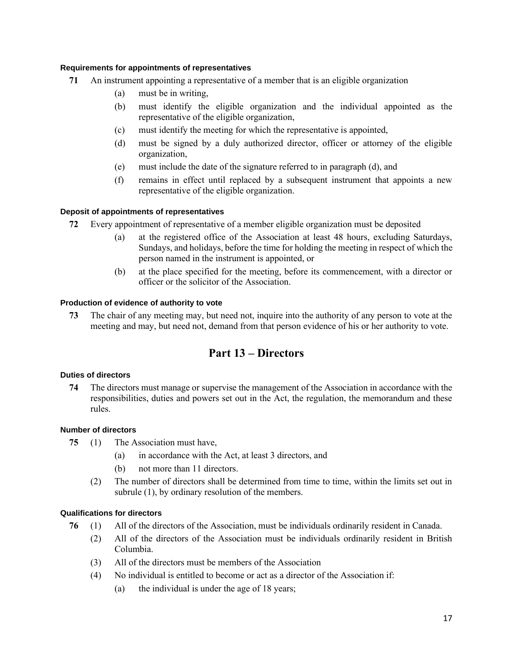### **Requirements for appointments of representatives**

- 71 An instrument appointing a representative of a member that is an eligible organization
	- (a) must be in writing,
	- (b) must identify the eligible organization and the individual appointed as the representative of the eligible organization,
	- (c) must identify the meeting for which the representative is appointed,
	- (d) must be signed by a duly authorized director, officer or attorney of the eligible organization,
	- (e) must include the date of the signature referred to in paragraph (d), and
	- (f) remains in effect until replaced by a subsequent instrument that appoints a new representative of the eligible organization.

### **Deposit of appointments of representatives**

- 72 Every appointment of representative of a member eligible organization must be deposited
	- (a) at the registered office of the Association at least 48 hours, excluding Saturdays, Sundays, and holidays, before the time for holding the meeting in respect of which the person named in the instrument is appointed, or
	- (b) at the place specified for the meeting, before its commencement, with a director or officer or the solicitor of the Association.

### **Production of evidence of authority to vote**

73 The chair of any meeting may, but need not, inquire into the authority of any person to vote at the meeting and may, but need not, demand from that person evidence of his or her authority to vote.

# Part 13 – Directors

### **Duties of directors**

74 The directors must manage or supervise the management of the Association in accordance with the responsibilities, duties and powers set out in the Act, the regulation, the memorandum and these rules.

### **Number of directors**

- 75 (1) The Association must have,
	- (a) in accordance with the Act, at least 3 directors, and
	- (b) not more than 11 directors.
	- (2) The number of directors shall be determined from time to time, within the limits set out in subrule (1), by ordinary resolution of the members.

### **Qualifications for directors**

- 76 (1) All of the directors of the Association, must be individuals ordinarily resident in Canada.
	- (2) All of the directors of the Association must be individuals ordinarily resident in British Columbia.
	- (3) All of the directors must be members of the Association
	- (4) No individual is entitled to become or act as a director of the Association if:
		- (a) the individual is under the age of 18 years;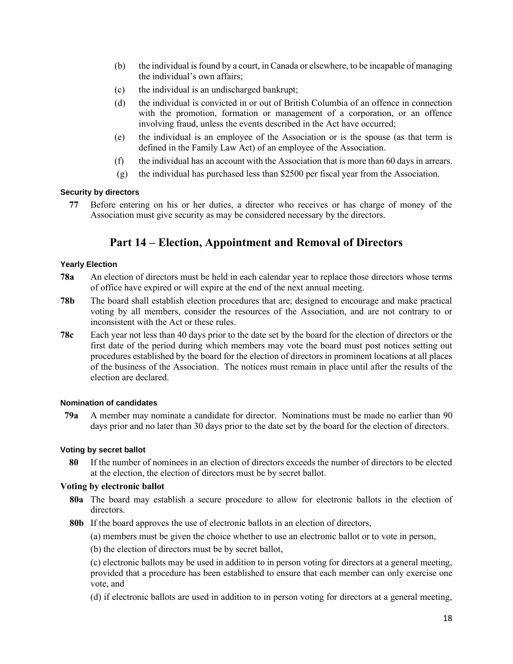- (b) the individual is found by a court, in Canada or elsewhere, to be incapable of managing the individual's own affairs;
- (c) the individual is an undischarged bankrupt;
- (d) the individual is convicted in or out of British Columbia of an offence in connection with the promotion, formation or management of a corporation, or an offence involving fraud, unless the events described in the Act have occurred;
- (e) the individual is an employee of the Association or is the spouse (as that term is defined in the Family Law Act) of an employee of the Association.
- (f) the individual has an account with the Association that is more than 60 days in arrears.
- (g) the individual has purchased less than \$2500 per fiscal year from the Association.

# **Security by directors**

77 Before entering on his or her duties, a director who receives or has charge of money of the Association must give security as may be considered necessary by the directors.

# Part 14 – Election, Appointment and Removal of Directors

### **Yearly Election**

- 78a An election of directors must be held in each calendar year to replace those directors whose terms of office have expired or will expire at the end of the next annual meeting.
- 78b The board shall establish election procedures that are; designed to encourage and make practical voting by all members, consider the resources of the Association, and are not contrary to or inconsistent with the Act or these rules.
- 78c Each year not less than 40 days prior to the date set by the board for the election of directors or the first date of the period during which members may vote the board must post notices setting out procedures established by the board for the election of directors in prominent locations at all places of the business of the Association. The notices must remain in place until after the results of the election are declared.

### **Nomination of candidates**

79a A member may nominate a candidate for director. Nominations must be made no earlier than 90 days prior and no later than 30 days prior to the date set by the board for the election of directors.

# **Voting by secret ballot**

80 If the number of nominees in an election of directors exceeds the number of directors to be elected at the election, the election of directors must be by secret ballot.

# Voting by electronic ballot

- 80a The board may establish a secure procedure to allow for electronic ballots in the election of directors.
- 80b If the board approves the use of electronic ballots in an election of directors,

(a) members must be given the choice whether to use an electronic ballot or to vote in person,

(b) the election of directors must be by secret ballot,

(c) electronic ballots may be used in addition to in person voting for directors at a general meeting, provided that a procedure has been established to ensure that each member can only exercise one vote, and

(d) if electronic ballots are used in addition to in person voting for directors at a general meeting,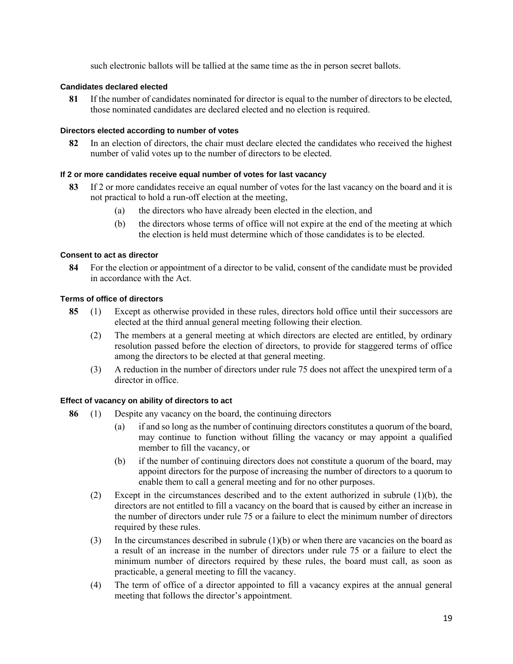such electronic ballots will be tallied at the same time as the in person secret ballots.

### **Candidates declared elected**

81 If the number of candidates nominated for director is equal to the number of directors to be elected, those nominated candidates are declared elected and no election is required.

### **Directors elected according to number of votes**

82 In an election of directors, the chair must declare elected the candidates who received the highest number of valid votes up to the number of directors to be elected.

### **If 2 or more candidates receive equal number of votes for last vacancy**

- 83 If 2 or more candidates receive an equal number of votes for the last vacancy on the board and it is not practical to hold a run-off election at the meeting,
	- (a) the directors who have already been elected in the election, and
	- (b) the directors whose terms of office will not expire at the end of the meeting at which the election is held must determine which of those candidates is to be elected.

### **Consent to act as director**

84 For the election or appointment of a director to be valid, consent of the candidate must be provided in accordance with the Act.

### **Terms of office of directors**

- 85 (1) Except as otherwise provided in these rules, directors hold office until their successors are elected at the third annual general meeting following their election.
	- (2) The members at a general meeting at which directors are elected are entitled, by ordinary resolution passed before the election of directors, to provide for staggered terms of office among the directors to be elected at that general meeting.
	- (3) A reduction in the number of directors under rule 75 does not affect the unexpired term of a director in office.

### **Effect of vacancy on ability of directors to act**

- 86 (1) Despite any vacancy on the board, the continuing directors
	- (a) if and so long as the number of continuing directors constitutes a quorum of the board, may continue to function without filling the vacancy or may appoint a qualified member to fill the vacancy, or
	- (b) if the number of continuing directors does not constitute a quorum of the board, may appoint directors for the purpose of increasing the number of directors to a quorum to enable them to call a general meeting and for no other purposes.
	- (2) Except in the circumstances described and to the extent authorized in subrule (1)(b), the directors are not entitled to fill a vacancy on the board that is caused by either an increase in the number of directors under rule 75 or a failure to elect the minimum number of directors required by these rules.
	- (3) In the circumstances described in subrule (1)(b) or when there are vacancies on the board as a result of an increase in the number of directors under rule 75 or a failure to elect the minimum number of directors required by these rules, the board must call, as soon as practicable, a general meeting to fill the vacancy.
	- (4) The term of office of a director appointed to fill a vacancy expires at the annual general meeting that follows the director's appointment.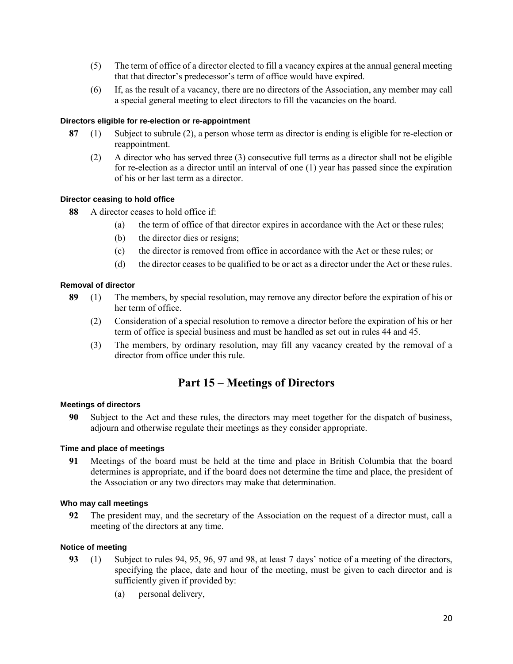- (5) The term of office of a director elected to fill a vacancy expires at the annual general meeting that that director's predecessor's term of office would have expired.
- (6) If, as the result of a vacancy, there are no directors of the Association, any member may call a special general meeting to elect directors to fill the vacancies on the board.

### **Directors eligible for re-election or re-appointment**

- 87 (1) Subject to subrule (2), a person whose term as director is ending is eligible for re-election or reappointment.
	- (2) A director who has served three (3) consecutive full terms as a director shall not be eligible for re-election as a director until an interval of one (1) year has passed since the expiration of his or her last term as a director.

### **Director ceasing to hold office**

- 88 A director ceases to hold office if:
	- (a) the term of office of that director expires in accordance with the Act or these rules;
	- (b) the director dies or resigns;
	- (c) the director is removed from office in accordance with the Act or these rules; or
	- (d) the director ceases to be qualified to be or act as a director under the Act or these rules.

### **Removal of director**

- 89 (1) The members, by special resolution, may remove any director before the expiration of his or her term of office.
	- (2) Consideration of a special resolution to remove a director before the expiration of his or her term of office is special business and must be handled as set out in rules 44 and 45.
	- (3) The members, by ordinary resolution, may fill any vacancy created by the removal of a director from office under this rule.

# Part 15 – Meetings of Directors

### **Meetings of directors**

90 Subject to the Act and these rules, the directors may meet together for the dispatch of business, adjourn and otherwise regulate their meetings as they consider appropriate.

# **Time and place of meetings**

91 Meetings of the board must be held at the time and place in British Columbia that the board determines is appropriate, and if the board does not determine the time and place, the president of the Association or any two directors may make that determination.

# **Who may call meetings**

92 The president may, and the secretary of the Association on the request of a director must, call a meeting of the directors at any time.

# **Notice of meeting**

- 93 (1) Subject to rules 94, 95, 96, 97 and 98, at least 7 days' notice of a meeting of the directors, specifying the place, date and hour of the meeting, must be given to each director and is sufficiently given if provided by:
	- (a) personal delivery,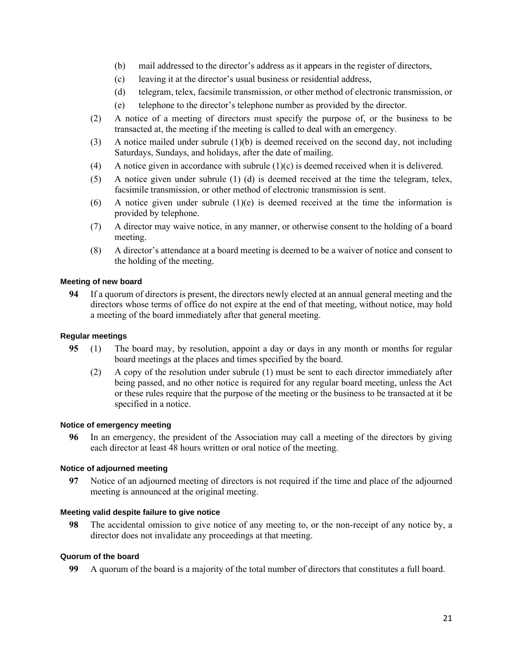- (b) mail addressed to the director's address as it appears in the register of directors,
- (c) leaving it at the director's usual business or residential address,
- (d) telegram, telex, facsimile transmission, or other method of electronic transmission, or
- (e) telephone to the director's telephone number as provided by the director.
- (2) A notice of a meeting of directors must specify the purpose of, or the business to be transacted at, the meeting if the meeting is called to deal with an emergency.
- (3) A notice mailed under subrule (1)(b) is deemed received on the second day, not including Saturdays, Sundays, and holidays, after the date of mailing.
- (4) A notice given in accordance with subrule (1)(c) is deemed received when it is delivered.
- (5) A notice given under subrule (1) (d) is deemed received at the time the telegram, telex, facsimile transmission, or other method of electronic transmission is sent.
- (6) A notice given under subrule  $(1)(e)$  is deemed received at the time the information is provided by telephone.
- (7) A director may waive notice, in any manner, or otherwise consent to the holding of a board meeting.
- (8) A director's attendance at a board meeting is deemed to be a waiver of notice and consent to the holding of the meeting.

### **Meeting of new board**

94 If a quorum of directors is present, the directors newly elected at an annual general meeting and the directors whose terms of office do not expire at the end of that meeting, without notice, may hold a meeting of the board immediately after that general meeting.

### **Regular meetings**

- 95 (1) The board may, by resolution, appoint a day or days in any month or months for regular board meetings at the places and times specified by the board.
	- (2) A copy of the resolution under subrule (1) must be sent to each director immediately after being passed, and no other notice is required for any regular board meeting, unless the Act or these rules require that the purpose of the meeting or the business to be transacted at it be specified in a notice.

#### **Notice of emergency meeting**

96 In an emergency, the president of the Association may call a meeting of the directors by giving each director at least 48 hours written or oral notice of the meeting.

### **Notice of adjourned meeting**

97 Notice of an adjourned meeting of directors is not required if the time and place of the adjourned meeting is announced at the original meeting.

#### **Meeting valid despite failure to give notice**

98 The accidental omission to give notice of any meeting to, or the non-receipt of any notice by, a director does not invalidate any proceedings at that meeting.

### **Quorum of the board**

99 A quorum of the board is a majority of the total number of directors that constitutes a full board.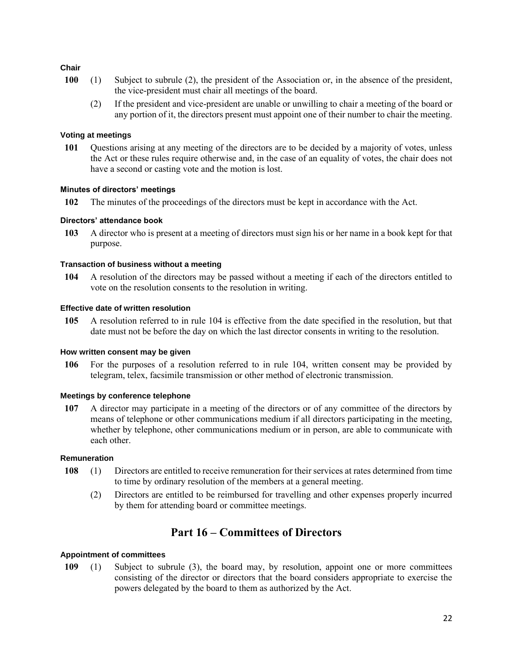### **Chair**

- 100 (1) Subject to subrule (2), the president of the Association or, in the absence of the president, the vice-president must chair all meetings of the board.
	- (2) If the president and vice-president are unable or unwilling to chair a meeting of the board or any portion of it, the directors present must appoint one of their number to chair the meeting.

### **Voting at meetings**

101 Questions arising at any meeting of the directors are to be decided by a majority of votes, unless the Act or these rules require otherwise and, in the case of an equality of votes, the chair does not have a second or casting vote and the motion is lost.

### **Minutes of directors' meetings**

102 The minutes of the proceedings of the directors must be kept in accordance with the Act.

### **Directors' attendance book**

103 A director who is present at a meeting of directors must sign his or her name in a book kept for that purpose.

### **Transaction of business without a meeting**

104 A resolution of the directors may be passed without a meeting if each of the directors entitled to vote on the resolution consents to the resolution in writing.

### **Effective date of written resolution**

105 A resolution referred to in rule 104 is effective from the date specified in the resolution, but that date must not be before the day on which the last director consents in writing to the resolution.

### **How written consent may be given**

106 For the purposes of a resolution referred to in rule 104, written consent may be provided by telegram, telex, facsimile transmission or other method of electronic transmission.

### **Meetings by conference telephone**

107 A director may participate in a meeting of the directors or of any committee of the directors by means of telephone or other communications medium if all directors participating in the meeting, whether by telephone, other communications medium or in person, are able to communicate with each other.

### **Remuneration**

- 108 (1) Directors are entitled to receive remuneration for their services at rates determined from time to time by ordinary resolution of the members at a general meeting.
	- (2) Directors are entitled to be reimbursed for travelling and other expenses properly incurred by them for attending board or committee meetings.

# Part 16 – Committees of Directors

### **Appointment of committees**

109 (1) Subject to subrule (3), the board may, by resolution, appoint one or more committees consisting of the director or directors that the board considers appropriate to exercise the powers delegated by the board to them as authorized by the Act.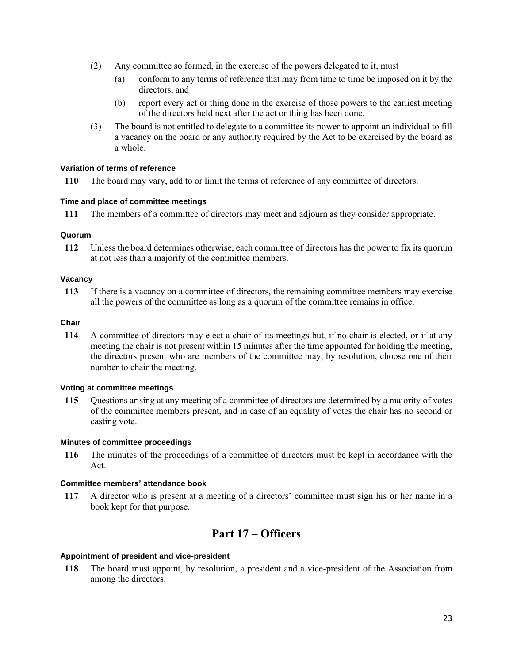- (2) Any committee so formed, in the exercise of the powers delegated to it, must
	- (a) conform to any terms of reference that may from time to time be imposed on it by the directors, and
	- (b) report every act or thing done in the exercise of those powers to the earliest meeting of the directors held next after the act or thing has been done.
- (3) The board is not entitled to delegate to a committee its power to appoint an individual to fill a vacancy on the board or any authority required by the Act to be exercised by the board as a whole.

### **Variation of terms of reference**

110 The board may vary, add to or limit the terms of reference of any committee of directors.

### **Time and place of committee meetings**

111 The members of a committee of directors may meet and adjourn as they consider appropriate.

### **Quorum**

112 Unless the board determines otherwise, each committee of directors has the power to fix its quorum at not less than a majority of the committee members.

### **Vacancy**

113 If there is a vacancy on a committee of directors, the remaining committee members may exercise all the powers of the committee as long as a quorum of the committee remains in office.

# **Chair**

114 A committee of directors may elect a chair of its meetings but, if no chair is elected, or if at any meeting the chair is not present within 15 minutes after the time appointed for holding the meeting, the directors present who are members of the committee may, by resolution, choose one of their number to chair the meeting.

### **Voting at committee meetings**

115 Questions arising at any meeting of a committee of directors are determined by a majority of votes of the committee members present, and in case of an equality of votes the chair has no second or casting vote.

### **Minutes of committee proceedings**

116 The minutes of the proceedings of a committee of directors must be kept in accordance with the Act.

### **Committee members' attendance book**

117 A director who is present at a meeting of a directors' committee must sign his or her name in a book kept for that purpose.

# Part 17 – Officers

### **Appointment of president and vice-president**

118 The board must appoint, by resolution, a president and a vice-president of the Association from among the directors.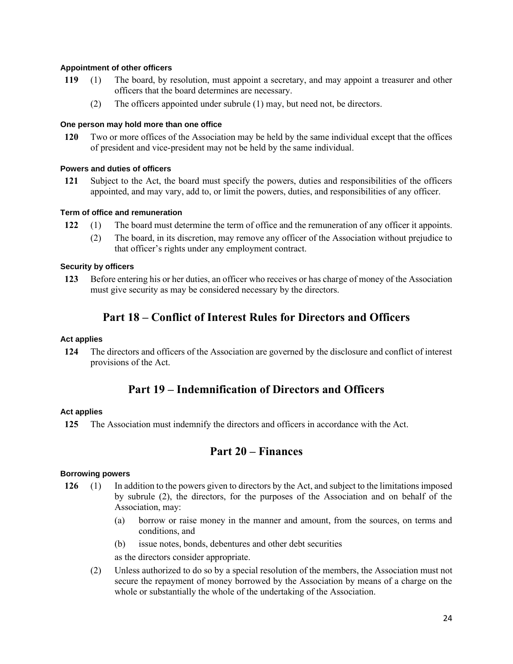### **Appointment of other officers**

- 119 (1) The board, by resolution, must appoint a secretary, and may appoint a treasurer and other officers that the board determines are necessary.
	- (2) The officers appointed under subrule (1) may, but need not, be directors.

### **One person may hold more than one office**

120 Two or more offices of the Association may be held by the same individual except that the offices of president and vice-president may not be held by the same individual.

### **Powers and duties of officers**

121 Subject to the Act, the board must specify the powers, duties and responsibilities of the officers appointed, and may vary, add to, or limit the powers, duties, and responsibilities of any officer.

### **Term of office and remuneration**

- 122 (1) The board must determine the term of office and the remuneration of any officer it appoints.
	- (2) The board, in its discretion, may remove any officer of the Association without prejudice to that officer's rights under any employment contract.

### **Security by officers**

123 Before entering his or her duties, an officer who receives or has charge of money of the Association must give security as may be considered necessary by the directors.

# Part 18 – Conflict of Interest Rules for Directors and Officers

### **Act applies**

124 The directors and officers of the Association are governed by the disclosure and conflict of interest provisions of the Act.

# Part 19 – Indemnification of Directors and Officers

### **Act applies**

125 The Association must indemnify the directors and officers in accordance with the Act.

# Part 20 – Finances

### **Borrowing powers**

- 126 (1) In addition to the powers given to directors by the Act, and subject to the limitations imposed by subrule (2), the directors, for the purposes of the Association and on behalf of the Association, may:
	- (a) borrow or raise money in the manner and amount, from the sources, on terms and conditions, and
	- (b) issue notes, bonds, debentures and other debt securities

as the directors consider appropriate.

(2) Unless authorized to do so by a special resolution of the members, the Association must not secure the repayment of money borrowed by the Association by means of a charge on the whole or substantially the whole of the undertaking of the Association.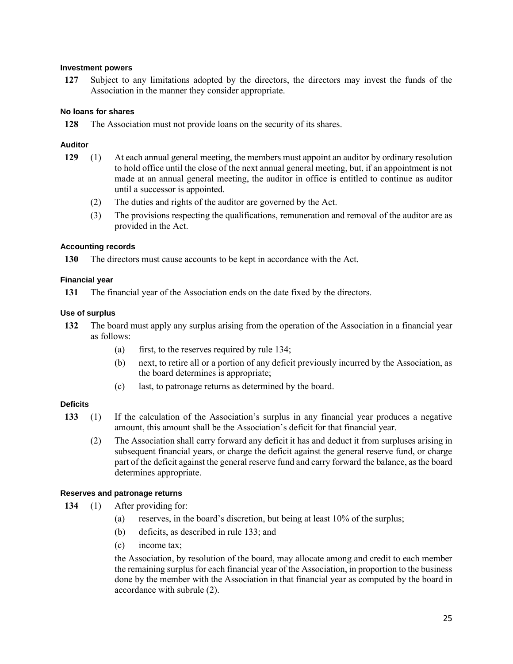### **Investment powers**

127 Subject to any limitations adopted by the directors, the directors may invest the funds of the Association in the manner they consider appropriate.

### **No loans for shares**

128 The Association must not provide loans on the security of its shares.

### **Auditor**

- 129 (1) At each annual general meeting, the members must appoint an auditor by ordinary resolution to hold office until the close of the next annual general meeting, but, if an appointment is not made at an annual general meeting, the auditor in office is entitled to continue as auditor until a successor is appointed.
	- (2) The duties and rights of the auditor are governed by the Act.
	- (3) The provisions respecting the qualifications, remuneration and removal of the auditor are as provided in the Act.

### **Accounting records**

130 The directors must cause accounts to be kept in accordance with the Act.

### **Financial year**

131 The financial year of the Association ends on the date fixed by the directors.

### **Use of surplus**

- 132 The board must apply any surplus arising from the operation of the Association in a financial year as follows:
	- (a) first, to the reserves required by rule 134;
	- (b) next, to retire all or a portion of any deficit previously incurred by the Association, as the board determines is appropriate;
	- (c) last, to patronage returns as determined by the board.

### **Deficits**

- 133 (1) If the calculation of the Association's surplus in any financial year produces a negative amount, this amount shall be the Association's deficit for that financial year.
	- (2) The Association shall carry forward any deficit it has and deduct it from surpluses arising in subsequent financial years, or charge the deficit against the general reserve fund, or charge part of the deficit against the general reserve fund and carry forward the balance, as the board determines appropriate.

### **Reserves and patronage returns**

- 134 (1) After providing for:
	- (a) reserves, in the board's discretion, but being at least 10% of the surplus;
	- (b) deficits, as described in rule 133; and
	- (c) income tax;

the Association, by resolution of the board, may allocate among and credit to each member the remaining surplus for each financial year of the Association, in proportion to the business done by the member with the Association in that financial year as computed by the board in accordance with subrule (2).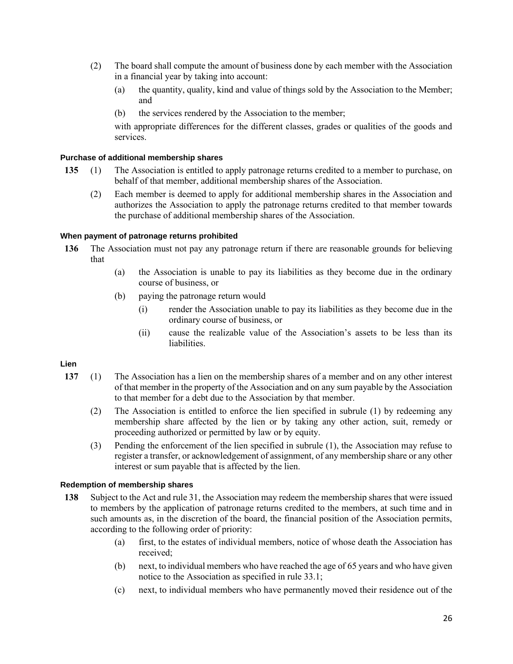- (2) The board shall compute the amount of business done by each member with the Association in a financial year by taking into account:
	- (a) the quantity, quality, kind and value of things sold by the Association to the Member; and
	- (b) the services rendered by the Association to the member;

with appropriate differences for the different classes, grades or qualities of the goods and services.

### **Purchase of additional membership shares**

- 135 (1) The Association is entitled to apply patronage returns credited to a member to purchase, on behalf of that member, additional membership shares of the Association.
	- (2) Each member is deemed to apply for additional membership shares in the Association and authorizes the Association to apply the patronage returns credited to that member towards the purchase of additional membership shares of the Association.

### **When payment of patronage returns prohibited**

- 136 The Association must not pay any patronage return if there are reasonable grounds for believing that
	- (a) the Association is unable to pay its liabilities as they become due in the ordinary course of business, or
	- (b) paying the patronage return would
		- (i) render the Association unable to pay its liabilities as they become due in the ordinary course of business, or
		- (ii) cause the realizable value of the Association's assets to be less than its liabilities.

# **Lien**

- 137 (1) The Association has a lien on the membership shares of a member and on any other interest of that member in the property of the Association and on any sum payable by the Association to that member for a debt due to the Association by that member.
	- (2) The Association is entitled to enforce the lien specified in subrule (1) by redeeming any membership share affected by the lien or by taking any other action, suit, remedy or proceeding authorized or permitted by law or by equity.
	- (3) Pending the enforcement of the lien specified in subrule (1), the Association may refuse to register a transfer, or acknowledgement of assignment, of any membership share or any other interest or sum payable that is affected by the lien.

### **Redemption of membership shares**

- 138 Subject to the Act and rule 31, the Association may redeem the membership shares that were issued to members by the application of patronage returns credited to the members, at such time and in such amounts as, in the discretion of the board, the financial position of the Association permits, according to the following order of priority:
	- (a) first, to the estates of individual members, notice of whose death the Association has received;
	- (b) next, to individual members who have reached the age of 65 years and who have given notice to the Association as specified in rule 33.1;
	- (c) next, to individual members who have permanently moved their residence out of the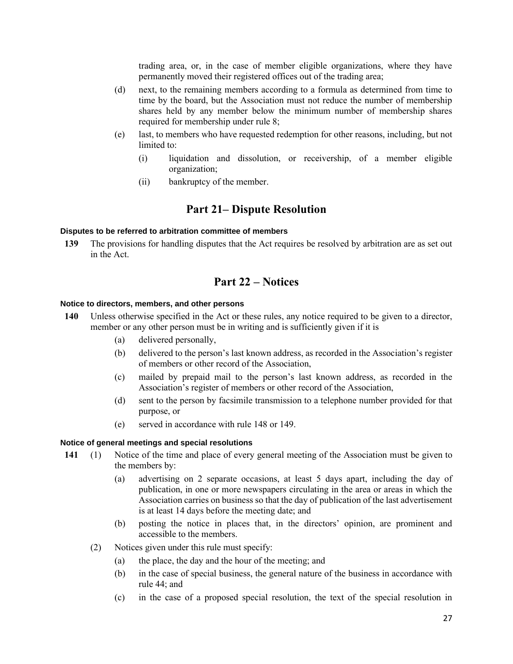trading area, or, in the case of member eligible organizations, where they have permanently moved their registered offices out of the trading area;

- (d) next, to the remaining members according to a formula as determined from time to time by the board, but the Association must not reduce the number of membership shares held by any member below the minimum number of membership shares required for membership under rule 8;
- (e) last, to members who have requested redemption for other reasons, including, but not limited to:
	- (i) liquidation and dissolution, or receivership, of a member eligible organization;
	- (ii) bankruptcy of the member.

# Part 21– Dispute Resolution

#### **Disputes to be referred to arbitration committee of members**

139 The provisions for handling disputes that the Act requires be resolved by arbitration are as set out in the Act.

# Part 22 – Notices

### **Notice to directors, members, and other persons**

- 140 Unless otherwise specified in the Act or these rules, any notice required to be given to a director, member or any other person must be in writing and is sufficiently given if it is
	- (a) delivered personally,
	- (b) delivered to the person's last known address, as recorded in the Association's register of members or other record of the Association,
	- (c) mailed by prepaid mail to the person's last known address, as recorded in the Association's register of members or other record of the Association,
	- (d) sent to the person by facsimile transmission to a telephone number provided for that purpose, or
	- (e) served in accordance with rule 148 or 149.

#### **Notice of general meetings and special resolutions**

- 141 (1) Notice of the time and place of every general meeting of the Association must be given to the members by:
	- (a) advertising on 2 separate occasions, at least 5 days apart, including the day of publication, in one or more newspapers circulating in the area or areas in which the Association carries on business so that the day of publication of the last advertisement is at least 14 days before the meeting date; and
	- (b) posting the notice in places that, in the directors' opinion, are prominent and accessible to the members.
	- (2) Notices given under this rule must specify:
		- (a) the place, the day and the hour of the meeting; and
		- (b) in the case of special business, the general nature of the business in accordance with rule 44; and
		- (c) in the case of a proposed special resolution, the text of the special resolution in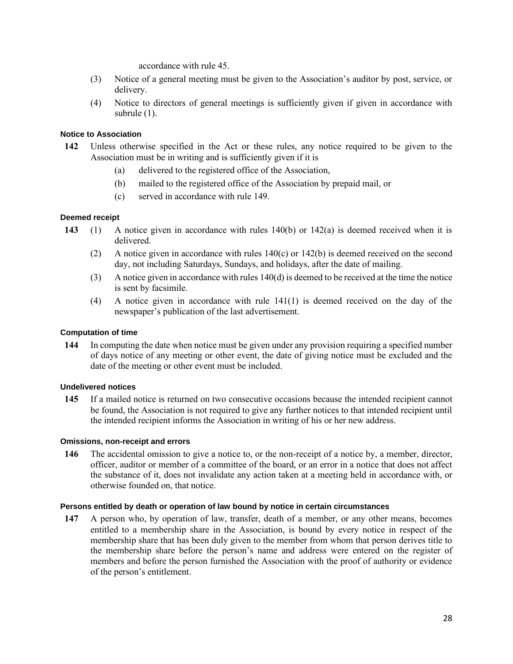accordance with rule 45.

- (3) Notice of a general meeting must be given to the Association's auditor by post, service, or delivery.
- (4) Notice to directors of general meetings is sufficiently given if given in accordance with subrule (1).

### **Notice to Association**

- 142 Unless otherwise specified in the Act or these rules, any notice required to be given to the Association must be in writing and is sufficiently given if it is
	- (a) delivered to the registered office of the Association,
	- (b) mailed to the registered office of the Association by prepaid mail, or
	- (c) served in accordance with rule 149.

### **Deemed receipt**

- 143 (1) A notice given in accordance with rules 140(b) or 142(a) is deemed received when it is delivered.
	- (2) A notice given in accordance with rules 140(c) or 142(b) is deemed received on the second day, not including Saturdays, Sundays, and holidays, after the date of mailing.
	- (3) A notice given in accordance with rules  $140(d)$  is deemed to be received at the time the notice is sent by facsimile.
	- (4) A notice given in accordance with rule 141(1) is deemed received on the day of the newspaper's publication of the last advertisement.

#### **Computation of time**

144 In computing the date when notice must be given under any provision requiring a specified number of days notice of any meeting or other event, the date of giving notice must be excluded and the date of the meeting or other event must be included.

### **Undelivered notices**

145 If a mailed notice is returned on two consecutive occasions because the intended recipient cannot be found, the Association is not required to give any further notices to that intended recipient until the intended recipient informs the Association in writing of his or her new address.

#### **Omissions, non-receipt and errors**

146 The accidental omission to give a notice to, or the non-receipt of a notice by, a member, director, officer, auditor or member of a committee of the board, or an error in a notice that does not affect the substance of it, does not invalidate any action taken at a meeting held in accordance with, or otherwise founded on, that notice.

#### **Persons entitled by death or operation of law bound by notice in certain circumstances**

147 A person who, by operation of law, transfer, death of a member, or any other means, becomes entitled to a membership share in the Association, is bound by every notice in respect of the membership share that has been duly given to the member from whom that person derives title to the membership share before the person's name and address were entered on the register of members and before the person furnished the Association with the proof of authority or evidence of the person's entitlement.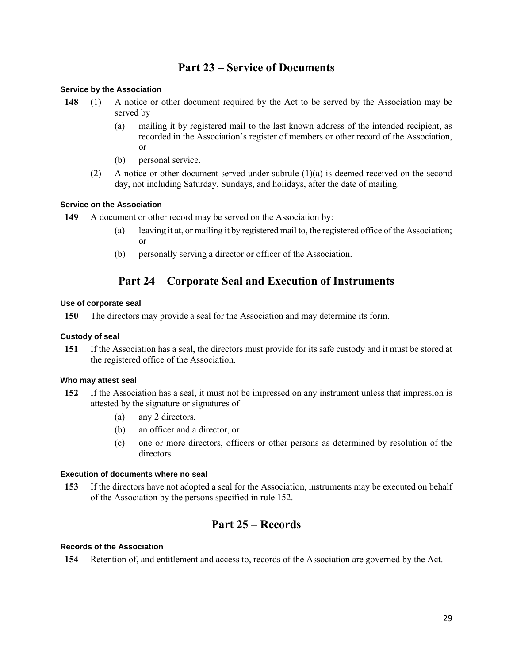# Part 23 – Service of Documents

### **Service by the Association**

- 148 (1) A notice or other document required by the Act to be served by the Association may be served by
	- (a) mailing it by registered mail to the last known address of the intended recipient, as recorded in the Association's register of members or other record of the Association, or
	- (b) personal service.
	- (2) A notice or other document served under subrule  $(1)(a)$  is deemed received on the second day, not including Saturday, Sundays, and holidays, after the date of mailing.

# **Service on the Association**

- 149 A document or other record may be served on the Association by:
	- (a) leaving it at, or mailing it by registered mail to, the registered office of the Association; or
	- (b) personally serving a director or officer of the Association.

# Part 24 – Corporate Seal and Execution of Instruments

### **Use of corporate seal**

150 The directors may provide a seal for the Association and may determine its form.

### **Custody of seal**

151 If the Association has a seal, the directors must provide for its safe custody and it must be stored at the registered office of the Association.

### **Who may attest seal**

- 152 If the Association has a seal, it must not be impressed on any instrument unless that impression is attested by the signature or signatures of
	- (a) any 2 directors,
	- (b) an officer and a director, or
	- (c) one or more directors, officers or other persons as determined by resolution of the directors.

### **Execution of documents where no seal**

153 If the directors have not adopted a seal for the Association, instruments may be executed on behalf of the Association by the persons specified in rule 152.

# Part 25 – Records

### **Records of the Association**

154 Retention of, and entitlement and access to, records of the Association are governed by the Act.